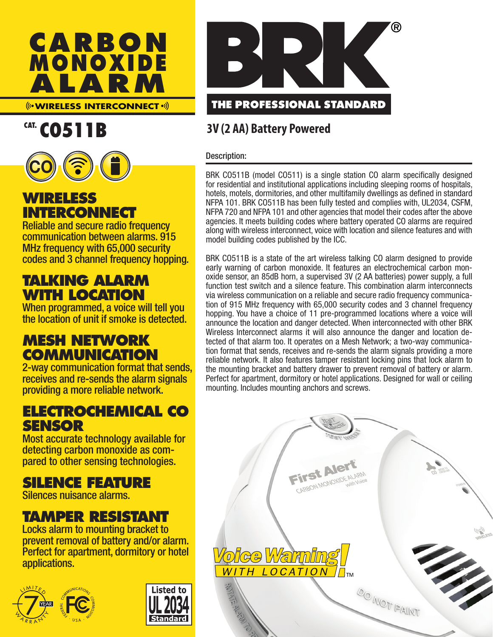

**WIRELESS INTERCONNECT**

# CAT. CO511B



# **WIRELESS INTERCONNECT**

Reliable and secure radio frequency communication between alarms. 915 MHz frequency with 65,000 security codes and 3 channel frequency hopping.

# **TALKING ALARM WITH LOCATION**

When programmed, a voice will tell you the location of unit if smoke is detected.

# **MESH NETWORK COMMUNICATION**

2-way communication format that sends, receives and re-sends the alarm signals providing a more reliable network.

# **ELECTROCHEMICAL CO SENSOR**

Most accurate technology available for detecting carbon monoxide as compared to other sensing technologies.

# **SILENCE FEATURE**

Silences nuisance alarms.

# **TAMPER RESISTANT**

Locks alarm to mounting bracket to prevent removal of battery and/or alarm. Perfect for apartment, dormitory or hotel applications.







# **3V (2 AA) Battery Powered**

#### Description:

BRK CO511B (model CO511) is a single station CO alarm specifically designed for residential and institutional applications including sleeping rooms of hospitals, hotels, motels, dormitories, and other multifamily dwellings as defined in standard NFPA 101. BRK CO511B has been fully tested and complies with, UL2034, CSFM, NFPA 720 and NFPA 101 and other agencies that model their codes after the above agencies. It meets building codes where battery operated CO alarms are required along with wireless interconnect, voice with location and silence features and with model building codes published by the ICC.

BRK CO511B is a state of the art wireless talking CO alarm designed to provide early warning of carbon monoxide. It features an electrochemical carbon monoxide sensor, an 85dB horn, a supervised 3V (2 AA batteries) power supply, a full function test switch and a silence feature. This combination alarm interconnects via wireless communication on a reliable and secure radio frequency communication of 915 MHz frequency with 65,000 security codes and 3 channel frequency hopping. You have a choice of 11 pre-programmed locations where a voice will announce the location and danger detected. When interconnected with other BRK Wireless Interconnect alarms it will also announce the danger and location detected of that alarm too. It operates on a Mesh Network; a two-way communication format that sends, receives and re-sends the alarm signals providing a more reliable network. It also features tamper resistant locking pins that lock alarm to the mounting bracket and battery drawer to prevent removal of battery or alarm. Perfect for apartment, dormitory or hotel applications. Designed for wall or ceiling mounting. Includes mounting anchors and screws.